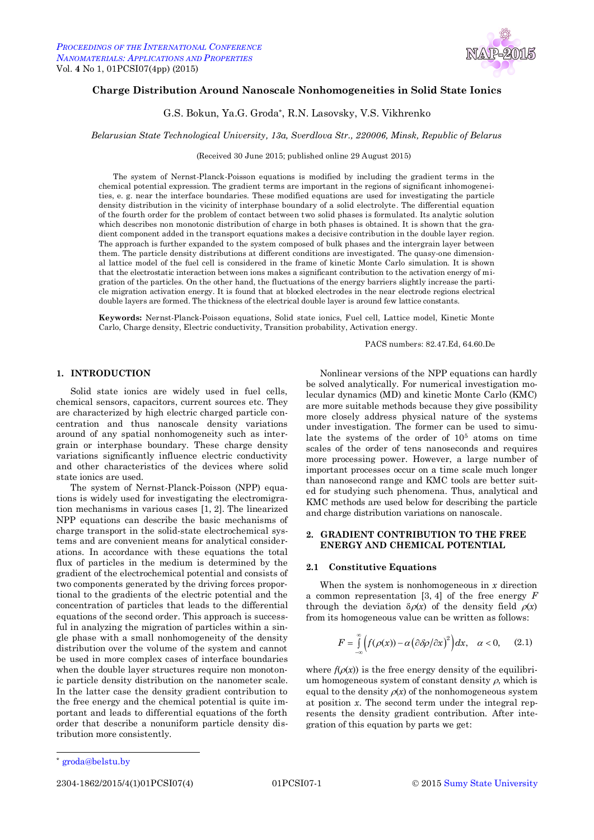

# **Charge Distribution Around Nanoscale Nonhomogeneities in Solid State Ionics**

G.S. Bokun, Ya.G. Groda\* , R.N. Lasovsky, V.S. Vikhrenko

*Belarusian State Technological University, 13a, Sverdlova Str., 220006, Minsk, Republic of Belarus*

(Received 30 June 2015; published online 29 August 2015)

The system of Nernst-Planck-Poisson equations is modified by including the gradient terms in the chemical potential expression. The gradient terms are important in the regions of significant inhomogeneities, e. g. near the interface boundaries. These modified equations are used for investigating the particle density distribution in the vicinity of interphase boundary of a solid electrolyte. The differential equation of the fourth order for the problem of contact between two solid phases is formulated. Its analytic solution which describes non monotonic distribution of charge in both phases is obtained. It is shown that the gradient component added in the transport equations makes a decisive contribution in the double layer region. The approach is further expanded to the system composed of bulk phases and the intergrain layer between them. The particle density distributions at different conditions are investigated. The quasy-one dimensional lattice model of the fuel cell is considered in the frame of kinetic Monte Carlo simulation. It is shown that the electrostatic interaction between ions makes a significant contribution to the activation energy of migration of the particles. On the other hand, the fluctuations of the energy barriers slightly increase the particle migration activation energy. It is found that at blocked electrodes in the near electrode regions electrical double layers are formed. The thickness of the electrical double layer is around few lattice constants.

**Keywords:** Nernst-Planck-Poisson equations, Solid state ionics, Fuel cell, Lattice model, Kinetic Monte Carlo, Charge density, Electric conductivity, Transition probability, Activation energy.

PACS numbers: 82.47.Ed, 64.60.De

# **1. INTRODUCTION**

Solid state ionics are widely used in fuel cells, chemical sensors, capacitors, current sources etc. They are characterized by high electric charged particle concentration and thus nanoscale density variations around of any spatial nonhomogeneity such as intergrain or interphase boundary. These charge density variations significantly influence electric conductivity and other characteristics of the devices where solid state ionics are used.

The system of Nernst-Planck-Poisson (NPP) equations is widely used for investigating the electromigration mechanisms in various cases [1, 2]. The linearized NPP equations can describe the basic mechanisms of charge transport in the solid-state electrochemical systems and are convenient means for analytical considerations. In accordance with these equations the total flux of particles in the medium is determined by the gradient of the electrochemical potential and consists of two components generated by the driving forces proportional to the gradients of the electric potential and the concentration of particles that leads to the differential equations of the second order. This approach is successful in analyzing the migration of particles within a single phase with a small nonhomogeneity of the density distribution over the volume of the system and cannot be used in more complex cases of interface boundaries when the double layer structures require non monotonic particle density distribution on the nanometer scale. In the latter case the density gradient contribution to the free energy and the chemical potential is quite important and leads to differential equations of the forth order that describe a nonuniform particle density distribution more consistently.

Nonlinear versions of the NPP equations can hardly be solved analytically. For numerical investigation molecular dynamics (MD) and kinetic Monte Carlo (KMC) are more suitable methods because they give possibility more closely address physical nature of the systems under investigation. The former can be used to simulate the systems of the order of 10<sup>5</sup> atoms on time scales of the order of tens nanoseconds and requires more processing power. However, a large number of important processes occur on a time scale much longer than nanosecond range and KMC tools are better suited for studying such phenomena. Thus, analytical and KMC methods are used below for describing the particle and charge distribution variations on nanoscale.

# **2. GRADIENT CONTRIBUTION TO THE FREE ENERGY AND CHEMICAL POTENTIAL**

### **2.1 Constitutive Equations**

When the system is nonhomogeneous in *x* direction a common representation [3, 4] of the free energy *F* through the deviation  $\delta \rho(x)$  of the density field  $\rho(x)$ from its homogeneous value can be written as follows:

$$
F = \int_{-\infty}^{\infty} \left( f(\rho(x)) - \alpha \left( \frac{\partial \delta \rho}{\partial x} \right)^2 \right) dx, \quad \alpha < 0, \qquad (2.1)
$$

where  $f(\rho(x))$  is the free energy density of the equilibrium homogeneous system of constant density  $\rho$ , which is equal to the density  $\rho(x)$  of the nonhomogeneous system at position *x*. The second term under the integral represents the density gradient contribution. After integration of this equation by parts we get:

l

groda@belstu.by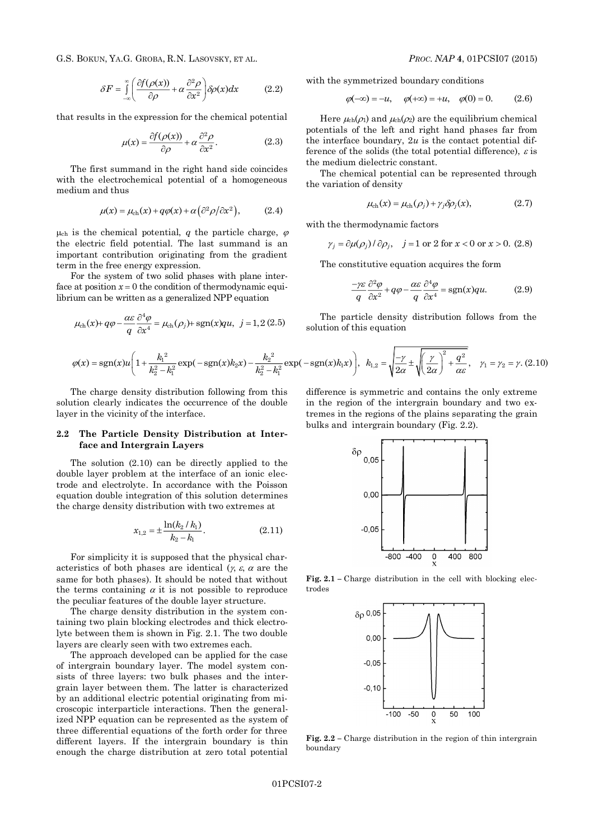G.S. BOKUN, YA.G. GROBA, R.N. LASOVSKY, ET AL. *PROC. NAP* **4**, 01PCSI07 (2015)

$$
\delta F = \int_{-\infty}^{\infty} \left( \frac{\partial f(\rho(x))}{\partial \rho} + \alpha \frac{\partial^2 \rho}{\partial x^2} \right) \delta \rho(x) dx \tag{2.2}
$$

that results in the expression for the chemical potential

$$
\mu(x) = \frac{\partial f(\rho(x))}{\partial \rho} + \alpha \frac{\partial^2 \rho}{\partial x^2}.
$$
 (2.3)

The first summand in the right hand side coincides with the electrochemical potential of a homogeneous medium and thus

$$
\mu(x) = \mu_{ch}(x) + q\varphi(x) + \alpha \left(\frac{\partial^2 \rho}{\partial x^2}\right), \quad (2.4)
$$

 $\mu_{ch}$  is the chemical potential, *q* the particle charge,  $\varphi$ the electric field potential. The last summand is an important contribution originating from the gradient term in the free energy expression.

For the system of two solid phases with plane interface at position  $x = 0$  the condition of thermodynamic equilibrium can be written as a generalized NPP equation

$$
\mu_{ch}(x) + q\varphi - \frac{\alpha \varepsilon}{q} \frac{\partial^4 \varphi}{\partial x^4} = \mu_{ch}(\rho_j) + \text{sgn}(x)qu, \ \ j = 1, 2 \ (2.5)
$$

with the symmetrized boundary conditions

$$
\varphi(-\infty) = -u, \quad \varphi(+\infty) = +u, \quad \varphi(0) = 0. \tag{2.6}
$$

Here  $\mu_{ch}(\rho_1)$  and  $\mu_{ch}(\rho_2)$  are the equilibrium chemical potentials of the left and right hand phases far from the interface boundary, 2*u* is the contact potential difference of the solids (the total potential difference),  $\varepsilon$  is the medium dielectric constant.

The chemical potential can be represented through the variation of density

$$
\mu_{ch}(x) = \mu_{ch}(\rho_j) + \gamma_j \delta \rho_j(x), \qquad (2.7)
$$

with the thermodynamic factors

$$
\gamma_j = \partial \mu(\rho_j) / \partial \rho_j, \quad j = 1 \text{ or } 2 \text{ for } x < 0 \text{ or } x > 0. \tag{2.8}
$$

The constitutive equation acquires the form

$$
\frac{-\gamma \varepsilon}{q} \frac{\partial^2 \varphi}{\partial x^2} + q\varphi - \frac{\alpha \varepsilon}{q} \frac{\partial^4 \varphi}{\partial x^4} = \text{sgn}(x)qu. \tag{2.9}
$$

The particle density distribution follows from the solution of this equation

$$
\varphi(x) = sgn(x)u\left(1 + \frac{k_1^2}{k_2^2 - k_1^2}exp(-sgn(x)k_2x) - \frac{k_2^2}{k_2^2 - k_1^2}exp(-sgn(x)k_1x)\right), \ \ k_{1,2} = \sqrt{\frac{-\gamma}{2\alpha}} \pm \sqrt{\left(\frac{\gamma}{2\alpha}\right)^2 + \frac{q^2}{\alpha\varepsilon}}, \quad \gamma_1 = \gamma_2 = \gamma. \tag{2.10}
$$

The charge density distribution following from this solution clearly indicates the occurrence of the double layer in the vicinity of the interface.

## **2.2 The Particle Density Distribution at Interface and Intergrain Layers**

The solution (2.10) can be directly applied to the double layer problem at the interface of an ionic electrode and electrolyte. In accordance with the Poisson equation double integration of this solution determines the charge density distribution with two extremes at

$$
x_{1,2} = \pm \frac{\ln(k_2 / k_1)}{k_2 - k_1}.
$$
 (2.11)

For simplicity it is supposed that the physical characteristics of both phases are identical  $(x, \varepsilon, \alpha)$  are the same for both phases). It should be noted that without the terms containing  $\alpha$  it is not possible to reproduce the peculiar features of the double layer structure.

The charge density distribution in the system containing two plain blocking electrodes and thick electrolyte between them is shown in Fig. 2.1. The two double layers are clearly seen with two extremes each.

The approach developed can be applied for the case of intergrain boundary layer. The model system consists of three layers: two bulk phases and the intergrain layer between them. The latter is characterized by an additional electric potential originating from microscopic interparticle interactions. Then the generalized NPP equation can be represented as the system of three differential equations of the forth order for three different layers. If the intergrain boundary is thin enough the charge distribution at zero total potential

difference is symmetric and contains the only extreme in the region of the intergrain boundary and two extremes in the regions of the plains separating the grain bulks and intergrain boundary (Fig. 2.2).



**Fig. 2.1 –** Charge distribution in the cell with blocking electrodes



**Fig. 2.2 –** Charge distribution in the region of thin intergrain boundary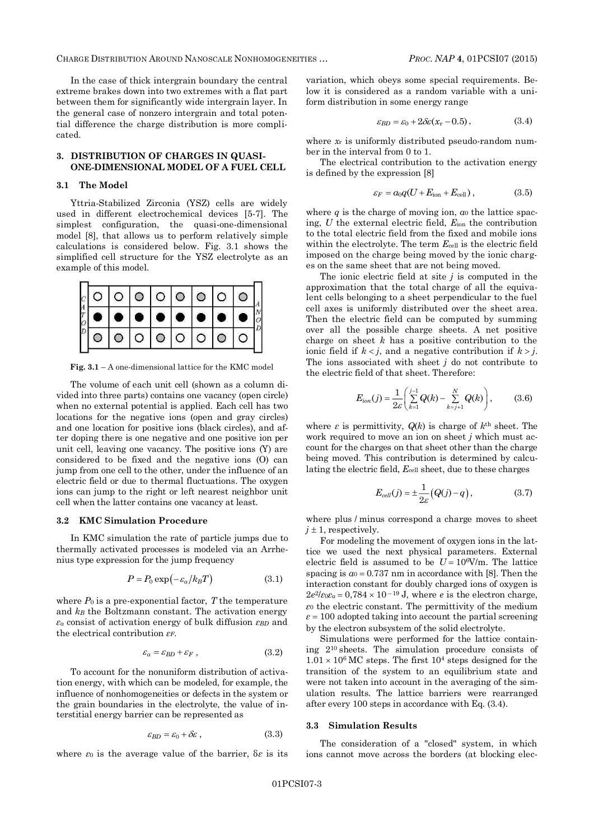CHARGE DISTRIBUTION AROUND NANOSCALE NONHOMOGENEITIES … *PROC. NAP* **4**, 01PCSI07 (2015)

In the case of thick intergrain boundary the central extreme brakes down into two extremes with a flat part between them for significantly wide intergrain layer. In the general case of nonzero intergrain and total potential difference the charge distribution is more complicated.

## **3. DISTRIBUTION OF CHARGES IN QUASI-ONE-DIMENSIONAL MODEL OF A FUEL CELL**

### **3.1 The Model**

Yttria-Stabilized Zirconia (YSZ) cells are widely used in different electrochemical devices [5-7]. The simplest configuration, the quasi-one-dimensional model [8], that allows us to perform relatively simple calculations is considered below. Fig. 3.1 shows the simplified cell structure for the YSZ electrolyte as an example of this model.



**Fig. 3.1** – A one-dimensional lattice for the KMC model

The volume of each unit cell (shown as a column divided into three parts) contains one vacancy (open circle) when no external potential is applied. Each cell has two locations for the negative ions (open and gray circles) and one location for positive ions (black circles), and after doping there is one negative and one positive ion per unit cell, leaving one vacancy. The positive ions (Y) are considered to be fixed and the negative ions (O) can jump from one cell to the other, under the influence of an electric field or due to thermal fluctuations. The oxygen ions can jump to the right or left nearest neighbor unit cell when the latter contains one vacancy at least.

# **3.2 KMC Simulation Procedure**

In KMC simulation the rate of particle jumps due to thermally activated processes is modeled via an Arrhenius type expression for the jump frequency

$$
P = P_0 \exp(-\varepsilon_a / k_B T) \tag{3.1}
$$

where  $P_0$  is a pre-exponential factor,  $T$  the temperature and *k<sup>B</sup>* the Boltzmann constant. The activation energy *ε<sup>a</sup>* consist of activation energy of bulk diffusion *εBD* and the electrical contribution *εF*.

$$
\varepsilon_a = \varepsilon_{BD} + \varepsilon_F , \qquad (3.2)
$$

To account for the nonuniform distribution of activation energy, with which can be modeled, for example, the influence of nonhomogeneities or defects in the system or the grain boundaries in the electrolyte, the value of interstitial energy barrier can be represented as

$$
\varepsilon_{BD} = \varepsilon_0 + \delta \varepsilon \,, \tag{3.3}
$$

where *ε*<sup>0</sup> is the average value of the barrier, δ*ε* is its

variation, which obeys some special requirements. Below it is considered as a random variable with a uniform distribution in some energy range

$$
\varepsilon_{BD} = \varepsilon_0 + 2\delta\varepsilon (x_r - 0.5) \,, \tag{3.4}
$$

where  $x_r$  is uniformly distributed pseudo-random number in the interval from 0 to 1.

The electrical contribution to the activation energy is defined by the expression [8]

$$
\varepsilon_F = a_0 q(U + E_{\text{ion}} + E_{\text{cell}}), \qquad (3.5)
$$

where  $q$  is the charge of moving ion,  $a_0$  the lattice spacing, *U* the external electric field, *E*ion the contribution to the total electric field from the fixed and mobile ions within the electrolyte. The term  $E_{cell}$  is the electric field imposed on the charge being moved by the ionic charges on the same sheet that are not being moved.

The ionic electric field at site *j* is computed in the approximation that the total charge of all the equivalent cells belonging to a sheet perpendicular to the fuel cell axes is uniformly distributed over the sheet area. Then the electric field can be computed by summing over all the possible charge sheets. A net positive charge on sheet *k* has a positive contribution to the ionic field if  $k < j$ , and a negative contribution if  $k > j$ . The ions associated with sheet *j* do not contribute to the electric field of that sheet. Therefore:

$$
E_{ion}(j) = \frac{1}{2\varepsilon} \left( \sum_{k=1}^{j-1} Q(k) - \sum_{k=j+1}^{N} Q(k) \right), \tag{3.6}
$$

where  $\varepsilon$  is permittivity,  $Q(k)$  is charge of  $k^{\text{th}}$  sheet. The work required to move an ion on sheet *j* which must account for the charges on that sheet other than the charge being moved. This contribution is determined by calculating the electric field, *E*cell sheet, due to these charges

$$
E_{cell}(j) = \pm \frac{1}{2\varepsilon} \big( Q(j) - q \big), \tag{3.7}
$$

where plus / minus correspond a charge moves to sheet  $j \pm 1$ , respectively.

For modeling the movement of oxygen ions in the lattice we used the next physical parameters. External electric field is assumed to be  $U = 10^6$ V/m. The lattice spacing is  $a_0 = 0.737$  nm in accordance with [8]. Then the interaction constant for doubly charged ions of oxygen is  $2e^2$ */ε* $\alpha$ *e* = 0,784  $\times$  10<sup>-19</sup> J, where *e* is the electron charge, *ε*<sup>0</sup> the electric constant. The permittivity of the medium  $\varepsilon$  = 100 adopted taking into account the partial screening by the electron subsystem of the solid electrolyte.

Simulations were performed for the lattice containing 2<sup>10</sup> sheets. The simulation procedure consists of  $1.01 \times 10^6$  MC steps. The first 10<sup>4</sup> steps designed for the transition of the system to an equilibrium state and were not taken into account in the averaging of the simulation results. The lattice barriers were rearranged after every 100 steps in accordance with Eq. (3.4).

### **3.3 Simulation Results**

The consideration of a "closed" system, in which ions cannot move across the borders (at blocking elec-